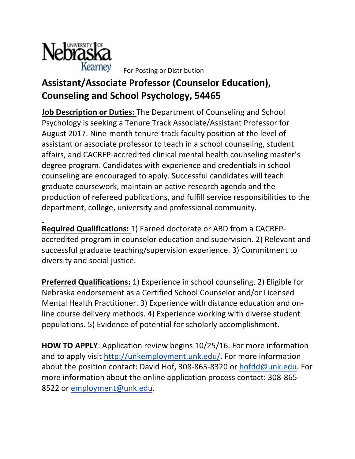

For Posting or Distribution

## Assistant/Associate Professor (Counselor Education), **Counseling and School Psychology, 54465**

**Job Description or Duties:** The Department of Counseling and School Psychology is seeking a Tenure Track Associate/Assistant Professor for August 2017. Nine-month tenure-track faculty position at the level of assistant or associate professor to teach in a school counseling, student affairs, and CACREP-accredited clinical mental health counseling master's degree program. Candidates with experience and credentials in school counseling are encouraged to apply. Successful candidates will teach graduate coursework, maintain an active research agenda and the production of refereed publications, and fulfill service responsibilities to the department, college, university and professional community.

**Required Qualifications:** 1) Earned doctorate or ABD from a CACREPaccredited program in counselor education and supervision. 2) Relevant and successful graduate teaching/supervision experience. 3) Commitment to diversity and social justice.

**Preferred Qualifications:** 1) Experience in school counseling. 2) Eligible for Nebraska endorsement as a Certified School Counselor and/or Licensed Mental Health Practitioner. 3) Experience with distance education and online course delivery methods. 4) Experience working with diverse student populations. 5) Evidence of potential for scholarly accomplishment.

**HOW TO APPLY:** Application review begins 10/25/16. For more information and to apply visit http://unkemployment.unk.edu/. For more information about the position contact: David Hof, 308-865-8320 or hofdd@unk.edu. For more information about the online application process contact: 308-865-8522 or employment@unk.edu.